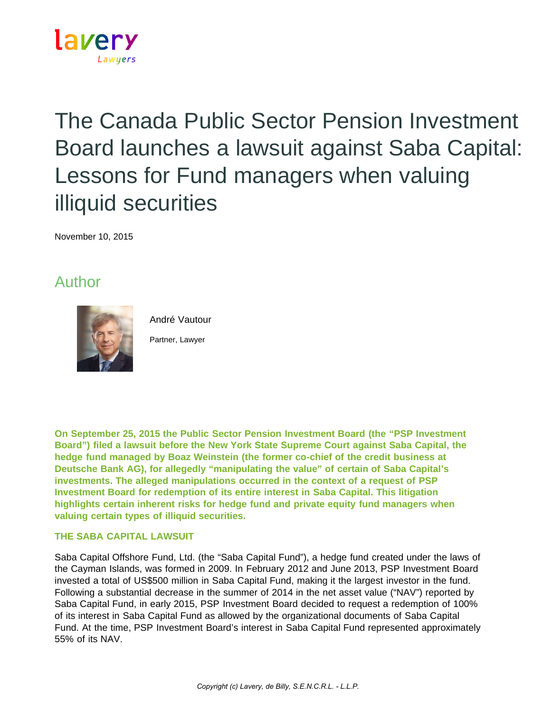

# The Canada Public Sector Pension Investment Board launches a lawsuit against Saba Capital: Lessons for Fund managers when valuing illiquid securities

November 10, 2015

## Author



André Vautour

Partner, Lawyer

**On September 25, 2015 the Public Sector Pension Investment Board (the "PSP Investment Board") filed a lawsuit before the New York State Supreme Court against Saba Capital, the hedge fund managed by Boaz Weinstein (the former co-chief of the credit business at Deutsche Bank AG), for allegedly "manipulating the value" of certain of Saba Capital's investments. The alleged manipulations occurred in the context of a request of PSP Investment Board for redemption of its entire interest in Saba Capital. This litigation highlights certain inherent risks for hedge fund and private equity fund managers when valuing certain types of illiquid securities.**

### **THE SABA CAPITAL LAWSUIT**

Saba Capital Offshore Fund, Ltd. (the "Saba Capital Fund"), a hedge fund created under the laws of the Cayman Islands, was formed in 2009. In February 2012 and June 2013, PSP Investment Board invested a total of US\$500 million in Saba Capital Fund, making it the largest investor in the fund. Following a substantial decrease in the summer of 2014 in the net asset value ("NAV") reported by Saba Capital Fund, in early 2015, PSP Investment Board decided to request a redemption of 100% of its interest in Saba Capital Fund as allowed by the organizational documents of Saba Capital Fund. At the time, PSP Investment Board's interest in Saba Capital Fund represented approximately 55% of its NAV.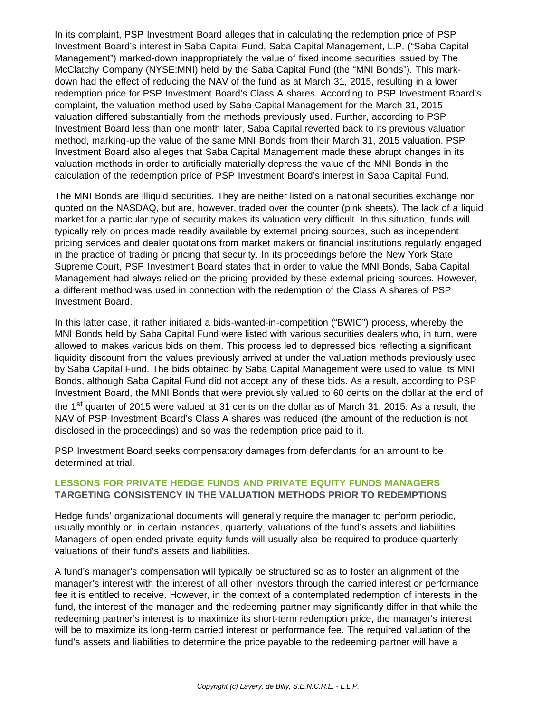In its complaint, PSP Investment Board alleges that in calculating the redemption price of PSP Investment Board's interest in Saba Capital Fund, Saba Capital Management, L.P. ("Saba Capital Management") marked-down inappropriately the value of fixed income securities issued by The McClatchy Company (NYSE:MNI) held by the Saba Capital Fund (the "MNI Bonds"). This markdown had the effect of reducing the NAV of the fund as at March 31, 2015, resulting in a lower redemption price for PSP Investment Board's Class A shares. According to PSP Investment Board's complaint, the valuation method used by Saba Capital Management for the March 31, 2015 valuation differed substantially from the methods previously used. Further, according to PSP Investment Board less than one month later, Saba Capital reverted back to its previous valuation method, marking-up the value of the same MNI Bonds from their March 31, 2015 valuation. PSP Investment Board also alleges that Saba Capital Management made these abrupt changes in its valuation methods in order to artificially materially depress the value of the MNI Bonds in the calculation of the redemption price of PSP Investment Board's interest in Saba Capital Fund.

The MNI Bonds are illiquid securities. They are neither listed on a national securities exchange nor quoted on the NASDAQ, but are, however, traded over the counter (pink sheets). The lack of a liquid market for a particular type of security makes its valuation very difficult. In this situation, funds will typically rely on prices made readily available by external pricing sources, such as independent pricing services and dealer quotations from market makers or financial institutions regularly engaged in the practice of trading or pricing that security. In its proceedings before the New York State Supreme Court, PSP Investment Board states that in order to value the MNI Bonds, Saba Capital Management had always relied on the pricing provided by these external pricing sources. However, a different method was used in connection with the redemption of the Class A shares of PSP Investment Board.

In this latter case, it rather initiated a bids-wanted-in-competition ("BWIC") process, whereby the MNI Bonds held by Saba Capital Fund were listed with various securities dealers who, in turn, were allowed to makes various bids on them. This process led to depressed bids reflecting a significant liquidity discount from the values previously arrived at under the valuation methods previously used by Saba Capital Fund. The bids obtained by Saba Capital Management were used to value its MNI Bonds, although Saba Capital Fund did not accept any of these bids. As a result, according to PSP Investment Board, the MNI Bonds that were previously valued to 60 cents on the dollar at the end of the 1<sup>st</sup> quarter of 2015 were valued at 31 cents on the dollar as of March 31, 2015. As a result, the NAV of PSP Investment Board's Class A shares was reduced (the amount of the reduction is not disclosed in the proceedings) and so was the redemption price paid to it.

PSP Investment Board seeks compensatory damages from defendants for an amount to be determined at trial.

#### **LESSONS FOR PRIVATE HEDGE FUNDS AND PRIVATE EQUITY FUNDS MANAGERS TARGETING CONSISTENCY IN THE VALUATION METHODS PRIOR TO REDEMPTIONS**

Hedge funds' organizational documents will generally require the manager to perform periodic, usually monthly or, in certain instances, quarterly, valuations of the fund's assets and liabilities. Managers of open-ended private equity funds will usually also be required to produce quarterly valuations of their fund's assets and liabilities.

A fund's manager's compensation will typically be structured so as to foster an alignment of the manager's interest with the interest of all other investors through the carried interest or performance fee it is entitled to receive. However, in the context of a contemplated redemption of interests in the fund, the interest of the manager and the redeeming partner may significantly differ in that while the redeeming partner's interest is to maximize its short-term redemption price, the manager's interest will be to maximize its long-term carried interest or performance fee. The required valuation of the fund's assets and liabilities to determine the price payable to the redeeming partner will have a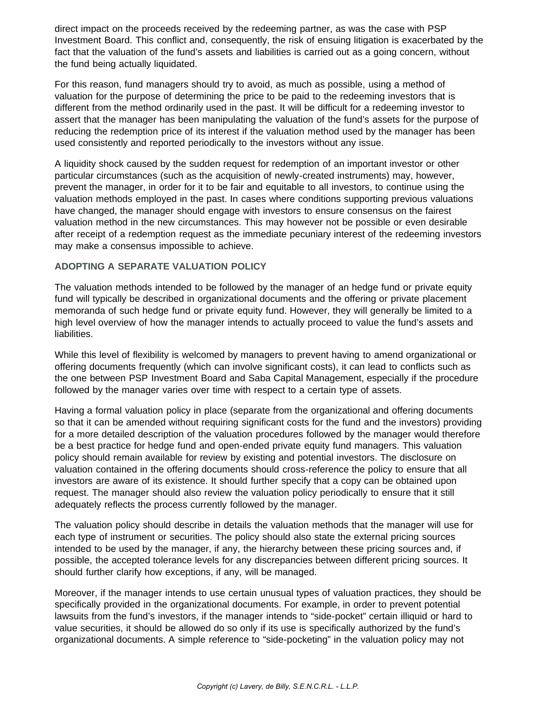direct impact on the proceeds received by the redeeming partner, as was the case with PSP Investment Board. This conflict and, consequently, the risk of ensuing litigation is exacerbated by the fact that the valuation of the fund's assets and liabilities is carried out as a going concern, without the fund being actually liquidated.

For this reason, fund managers should try to avoid, as much as possible, using a method of valuation for the purpose of determining the price to be paid to the redeeming investors that is different from the method ordinarily used in the past. It will be difficult for a redeeming investor to assert that the manager has been manipulating the valuation of the fund's assets for the purpose of reducing the redemption price of its interest if the valuation method used by the manager has been used consistently and reported periodically to the investors without any issue.

A liquidity shock caused by the sudden request for redemption of an important investor or other particular circumstances (such as the acquisition of newly-created instruments) may, however, prevent the manager, in order for it to be fair and equitable to all investors, to continue using the valuation methods employed in the past. In cases where conditions supporting previous valuations have changed, the manager should engage with investors to ensure consensus on the fairest valuation method in the new circumstances. This may however not be possible or even desirable after receipt of a redemption request as the immediate pecuniary interest of the redeeming investors may make a consensus impossible to achieve.

#### **ADOPTING A SEPARATE VALUATION POLICY**

The valuation methods intended to be followed by the manager of an hedge fund or private equity fund will typically be described in organizational documents and the offering or private placement memoranda of such hedge fund or private equity fund. However, they will generally be limited to a high level overview of how the manager intends to actually proceed to value the fund's assets and liabilities.

While this level of flexibility is welcomed by managers to prevent having to amend organizational or offering documents frequently (which can involve significant costs), it can lead to conflicts such as the one between PSP Investment Board and Saba Capital Management, especially if the procedure followed by the manager varies over time with respect to a certain type of assets.

Having a formal valuation policy in place (separate from the organizational and offering documents so that it can be amended without requiring significant costs for the fund and the investors) providing for a more detailed description of the valuation procedures followed by the manager would therefore be a best practice for hedge fund and open-ended private equity fund managers. This valuation policy should remain available for review by existing and potential investors. The disclosure on valuation contained in the offering documents should cross-reference the policy to ensure that all investors are aware of its existence. It should further specify that a copy can be obtained upon request. The manager should also review the valuation policy periodically to ensure that it still adequately reflects the process currently followed by the manager.

The valuation policy should describe in details the valuation methods that the manager will use for each type of instrument or securities. The policy should also state the external pricing sources intended to be used by the manager, if any, the hierarchy between these pricing sources and, if possible, the accepted tolerance levels for any discrepancies between different pricing sources. It should further clarify how exceptions, if any, will be managed.

Moreover, if the manager intends to use certain unusual types of valuation practices, they should be specifically provided in the organizational documents. For example, in order to prevent potential lawsuits from the fund's investors, if the manager intends to "side-pocket" certain illiquid or hard to value securities, it should be allowed do so only if its use is specifically authorized by the fund's organizational documents. A simple reference to "side-pocketing" in the valuation policy may not